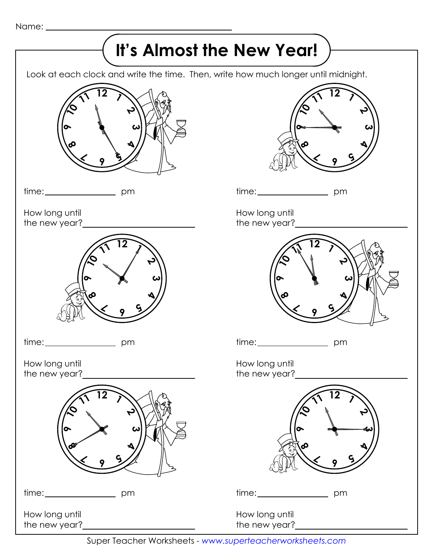Name:

## $\rightarrow$  It's Almost the New Year!  $\,$   $\rightarrow$

Look at each clock and write the time. Then, write how much longer until midnight.



time: \_\_\_\_\_\_\_\_\_\_\_\_\_\_\_\_\_\_\_\_\_\_\_\_ pm

How long until the new year?



time: pm

How long until the new year?



How long until the new year?



time: \_\_\_\_\_\_\_\_\_\_\_\_\_\_\_\_\_\_\_\_ pm

How long until the new year?



time: \_\_\_\_\_\_\_\_\_\_\_\_\_\_\_\_\_\_\_\_\_\_\_ pm

How long until the new year?



time: \_\_\_\_\_\_\_\_\_\_\_\_\_\_\_\_\_\_\_\_\_\_\_ pm

How long until the new year?

Super Teacher Worksheets - *www.superteacherworksheets.com*